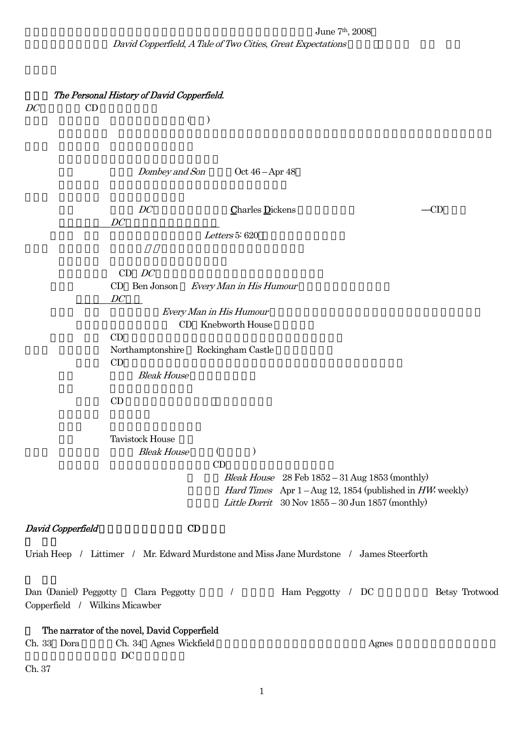## June 7<sup>th</sup>, 2008 David Copperfield, A Tale of Two Cities, Great Expectations

| The Personal History of David Copperfield.<br>CD<br>DC<br>$\rightarrow$<br>$\left($                                                                                                                                                      |                |
|------------------------------------------------------------------------------------------------------------------------------------------------------------------------------------------------------------------------------------------|----------------|
| Dombey and Son<br>Oct $46 -$ Apr $48$                                                                                                                                                                                                    |                |
| DC<br><b>Charles Dickens</b><br>DC                                                                                                                                                                                                       | CD             |
| Letters 5: 620                                                                                                                                                                                                                           |                |
| $CD$ $DC$<br>Ben Jonson<br>CD<br>Every Man in His Humour<br>DC                                                                                                                                                                           |                |
| Every Man in His Humour                                                                                                                                                                                                                  |                |
| CD Knebworth House<br>CD                                                                                                                                                                                                                 |                |
| Northamptonshire<br>Rockingham Castle<br>CD                                                                                                                                                                                              |                |
| <b>Bleak House</b>                                                                                                                                                                                                                       |                |
| CD                                                                                                                                                                                                                                       |                |
| <b>Tavistock House</b><br><b>Bleak House</b><br>$\mathcal{E}$<br>CD<br>Bleak House 28 Feb 1852 - 31 Aug 1853 (monthly)<br>Hard Times Apr 1 - Aug 12, 1854 (published in HW, weekly)<br>Little Dorrit 30 Nov 1855 - 30 Jun 1857 (monthly) |                |
| CD<br>David Copperfield                                                                                                                                                                                                                  |                |
| Uriah Heep / Littimer / Mr. Edward Murdstone and Miss Jane Murdstone / James Steerforth                                                                                                                                                  |                |
| Dan (Daniel) Peggotty<br>Clara Peggotty<br>Ham Peggotty / DC<br>$\prime$<br>Copperfield / Wilkins Micawber                                                                                                                               | Betsy Trotwood |
| The narrator of the novel, David Copperfield                                                                                                                                                                                             |                |
| Ch. 33 Dora<br>Ch. 34 Agnes Wickfield<br>DC                                                                                                                                                                                              | Agnes          |
| Ch. 37                                                                                                                                                                                                                                   |                |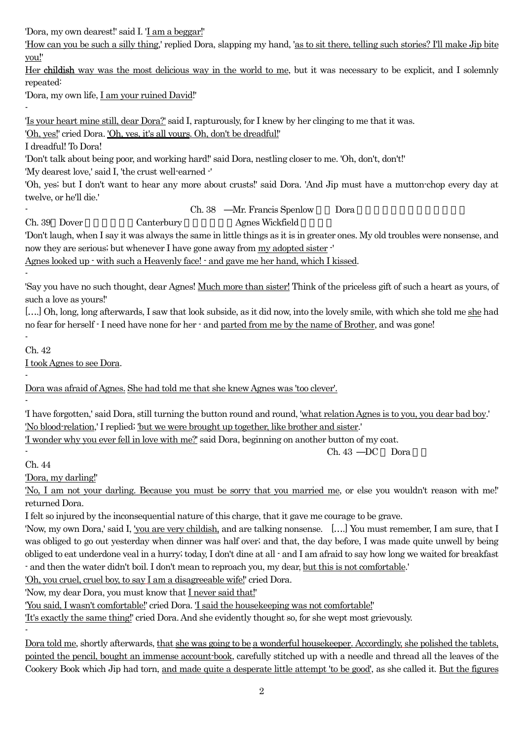'Dora, my own dearest!' said I. 'I am a beggar!'

'How can you be such a silly thing,' replied Dora, slapping my hand, 'as to sit there, telling such stories? I'll make Jip bite you!'

Her childish way was the most delicious way in the world to me, but it was necessary to be explicit, and I solemnly repeated:

'Dora, my own life, I am your ruined David!'

'Is your heart mine still, dear Dora?' said I, rapturously, for I knew by her clinging to me that it was.

'Oh, yes!' cried Dora. 'Oh, yes, it's all yours. Oh, don't be dreadful!'

I dreadful! To Dora!

'Don't talk about being poor, and working hard!' said Dora, nestling closer to me. 'Oh, don't, don't!'

'My dearest love,' said I, 'the crust well-earned -'

'Oh, yes; but I don't want to hear any more about crusts!' said Dora. 'And Jip must have a mutton-chop every day at twelve, or he'll die.'

Ch. 38 Mr. Francis Spenlow Dora

Ch. 39 Dover Canterbury Agnes Wickfield

'Don't laugh, when I say it was always the same in little things as it is in greater ones. My old troubles were nonsense, and now they are serious; but whenever I have gone away from my adopted sister -'

Agnes looked up - with such a Heavenly face! - and gave me her hand, which I kissed.

-

-

'Say you have no such thought, dear Agnes! Much more than sister! Think of the priceless gift of such a heart as yours, of such a love as yours!'

[...] Oh, long, long afterwards, I saw that look subside, as it did now, into the lovely smile, with which she told me she had no fear for herself - I need have none for her - and parted from me by the name of Brother, and was gone!

- Ch. 42

-

-

I took Agnes to see Dora.

Dora was afraid of Agnes. She had told me that she knew Agnes was 'too clever'.

'I have forgotten,' said Dora, still turning the button round and round, 'what relation Agnes is to you, you dear bad boy.' 'No blood-relation,' I replied; 'but we were brought up together, like brother and sister.'

'I wonder why you ever fell in love with me?' said Dora, beginning on another button of my coat.

- Ch. 43 DC Dora

Ch. 44

-

'Dora, my darling!'

'No, I am not your darling. Because you must be sorry that you married me, or else you wouldn't reason with me!' returned Dora.

I felt so injured by the inconsequential nature of this charge, that it gave me courage to be grave.

'Now, my own Dora,' said I, 'you are very childish, and are talking nonsense. [….] You must remember, I am sure, that I was obliged to go out yesterday when dinner was half over; and that, the day before, I was made quite unwell by being obliged to eat underdone veal in a hurry; today, I don't dine at all - and I am afraid to say how long we waited for breakfast - and then the water didn't boil. I don't mean to reproach you, my dear, but this is not comfortable.'

'Oh, you cruel, cruel boy, to say I am a disagreeable wife!' cried Dora.

'Now, my dear Dora, you must know that I never said that!'

'You said, I wasn't comfortable!' cried Dora. 'I said the housekeeping was not comfortable!'

'It's exactly the same thing!' cried Dora. And she evidently thought so, for she wept most grievously.

Dora told me, shortly afterwards, that she was going to be a wonderful housekeeper. Accordingly, she polished the tablets, pointed the pencil, bought an immense account-book, carefully stitched up with a needle and thread all the leaves of the Cookery Book which Jip had torn, and made quite a desperate little attempt 'to be good', as she called it. But the figures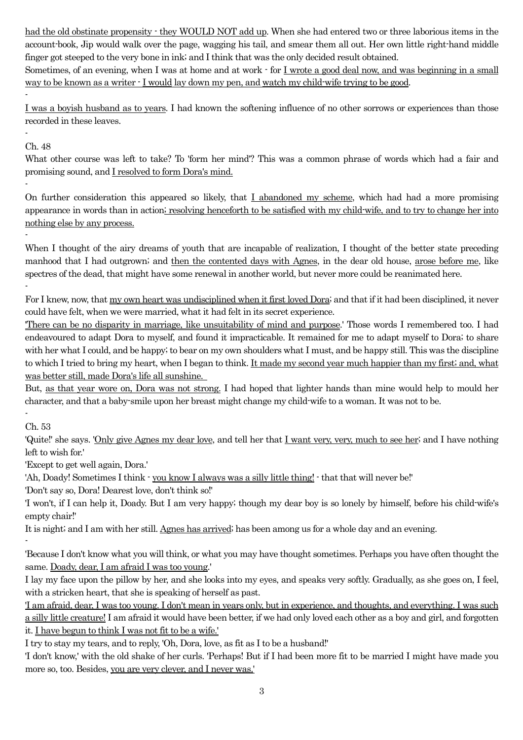had the old obstinate propensity  $\cdot$  they WOULD NOT add up. When she had entered two or three laborious items in the account-book, Jip would walk over the page, wagging his tail, and smear them all out. Her own little right-hand middle finger got steeped to the very bone in ink; and I think that was the only decided result obtained.

Sometimes, of an evening, when I was at home and at work  $\cdot$  for I wrote a good deal now, and was beginning in a small way to be known as a writer - I would lay down my pen, and watch my child-wife trying to be good.

I was a boyish husband as to years. I had known the softening influence of no other sorrows or experiences than those recorded in these leaves.

- Ch. 48

-

-

-

What other course was left to take? To 'form her mind'? This was a common phrase of words which had a fair and promising sound, and I resolved to form Dora's mind.

On further consideration this appeared so likely, that I abandoned my scheme, which had had a more promising appearance in words than in action; resolving henceforth to be satisfied with my child-wife, and to try to change her into nothing else by any process.

When I thought of the airy dreams of youth that are incapable of realization, I thought of the better state preceding manhood that I had outgrown; and then the contented days with Agnes, in the dear old house, arose before me, like spectres of the dead, that might have some renewal in another world, but never more could be reanimated here. -

For I knew, now, that my own heart was undisciplined when it first loved Dora; and that if it had been disciplined, it never could have felt, when we were married, what it had felt in its secret experience.

'There can be no disparity in marriage, like unsuitability of mind and purpose.' Those words I remembered too. I had endeavoured to adapt Dora to myself, and found it impracticable. It remained for me to adapt myself to Dora; to share with her what I could, and be happy; to bear on my own shoulders what I must, and be happy still. This was the discipline to which I tried to bring my heart, when I began to think. It made my second year much happier than my first; and, what was better still, made Dora's life all sunshine.

But, as that year wore on, Dora was not strong. I had hoped that lighter hands than mine would help to mould her character, and that a baby-smile upon her breast might change my child-wife to a woman. It was not to be.

- Ch. 53

-

'Quite!' she says. 'Only give Agnes my dear love, and tell her that I want very, very, much to see her; and I have nothing left to wish for.'

'Except to get well again, Dora.'

'Ah, Doady! Sometimes I think - you know I always was a silly little thing! - that that will never be!'

'Don't say so, Dora! Dearest love, don't think so!'

'I won't, if I can help it, Doady. But I am very happy; though my dear boy is so lonely by himself, before his child-wife's empty chair!'

It is night; and I am with her still. Agnes has arrived; has been among us for a whole day and an evening.

'Because I don't know what you will think, or what you may have thought sometimes. Perhaps you have often thought the same. Doady, dear, I am afraid I was too young.'

I lay my face upon the pillow by her, and she looks into my eyes, and speaks very softly. Gradually, as she goes on, I feel, with a stricken heart, that she is speaking of herself as past.

'I am afraid, dear, I was too young. I don't mean in years only, but in experience, and thoughts, and everything. I was such a silly little creature! I am afraid it would have been better, if we had only loved each other as a boy and girl, and forgotten it. I have begun to think I was not fit to be a wife.'

I try to stay my tears, and to reply, 'Oh, Dora, love, as fit as I to be a husband!'

'I don't know,' with the old shake of her curls. 'Perhaps! But if I had been more fit to be married I might have made you more so, too. Besides, you are very clever, and I never was.'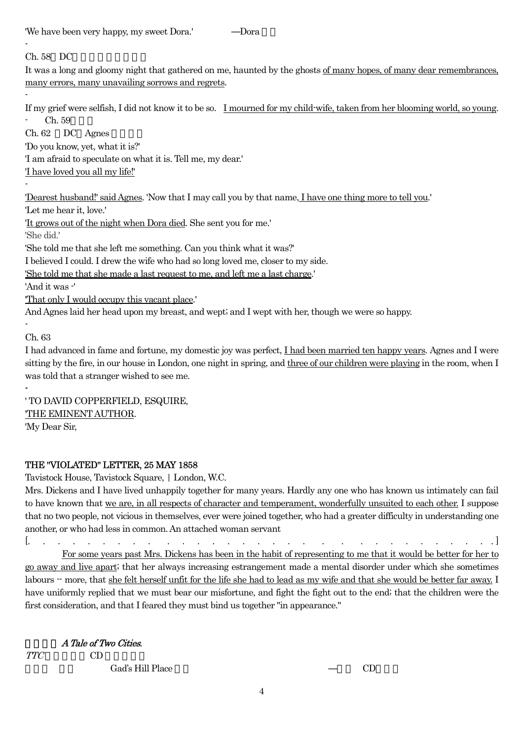'We have been very happy, my sweet Dora.' Dora

 $Ch. 58$  DC

-

-

-

It was a long and gloomy night that gathered on me, haunted by the ghosts of many hopes, of many dear remembrances, many errors, many unavailing sorrows and regrets.

If my grief were selfish, I did not know it to be so. I mourned for my child-wife, taken from her blooming world, so young. Ch. 59

 $Ch. 62 \quad DC \text{Agnes}$ 'Do you know, yet, what it is?'

'I am afraid to speculate on what it is. Tell me, my dear.'

'I have loved you all my life!'

'Dearest husband!' said Agnes. 'Now that I may call you by that name, I have one thing more to tell you.'

'Let me hear it, love.'

'It grows out of the night when Dora died. She sent you for me.'

'She did.'

'She told me that she left me something. Can you think what it was?'

I believed I could. I drew the wife who had so long loved me, closer to my side.

'She told me that she made a last request to me, and left me a last charge.'

'And it was -'

'That only I would occupy this vacant place.'

And Agnes laid her head upon my breast, and wept; and I wept with her, though we were so happy.

Ch. 63

-

-

I had advanced in fame and fortune, my domestic joy was perfect, I had been married ten happy years. Agnes and I were sitting by the fire, in our house in London, one night in spring, and three of our children were playing in the room, when I was told that a stranger wished to see me.

' TO DAVID COPPERFIELD, ESQUIRE, 'THE EMINENT AUTHOR. 'My Dear Sir,

## THE "VIOLATED" LETTER, 25 MAY 1858

Tavistock House, Tavistock Square, | London, W.C.

Mrs. Dickens and I have lived unhappily together for many years. Hardly any one who has known us intimately can fail to have known that we are, in all respects of character and temperament, wonderfully unsuited to each other. I suppose that no two people, not vicious in themselves, ever were joined together, who had a greater difficulty in understanding one another, or who had less in common. An attached woman servant

[. . . . . . . . . . . . . . . . . . . . . . . . . . . . . . . ]

 For some years past Mrs. Dickens has been in the habit of representing to me that it would be better for her to go away and live apart; that her always increasing estrangement made a mental disorder under which she sometimes labours  $-$  more, that she felt herself unfit for the life she had to lead as my wife and that she would be better far away. I have uniformly replied that we must bear our misfortune, and fight the fight out to the end; that the children were the first consideration, and that I feared they must bind us together "in appearance."

A Tale of Two Cities.

TTC CD

Gad's Hill Place CD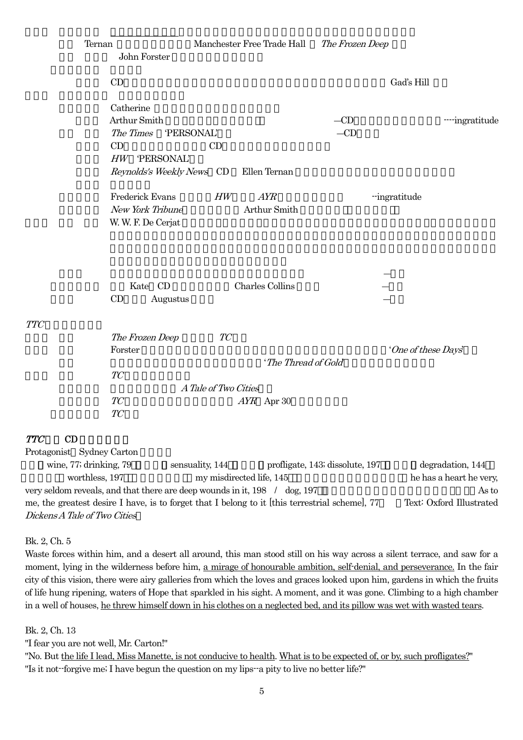| Ternan                                                                                                                                                                 | John Forster                                                                                        |                            | Manchester Free Trade Hall          | The Frozen Deep                 |                                                      |
|------------------------------------------------------------------------------------------------------------------------------------------------------------------------|-----------------------------------------------------------------------------------------------------|----------------------------|-------------------------------------|---------------------------------|------------------------------------------------------|
|                                                                                                                                                                        | CD                                                                                                  |                            |                                     |                                 | Gad's Hill                                           |
|                                                                                                                                                                        | Catherine<br>Arthur Smith<br>The Times<br>CD<br>HW<br><b>PERSONAL'</b><br>Reynolds's Weekly News CD | 'PERSONAL'<br>CD           | Ellen Ternan                        | $-CD$<br>$-CD$                  | ---ingratitude                                       |
|                                                                                                                                                                        | Frederick Evans<br>New York Tribune<br>W. W. F. De Cerjat                                           | HW                         | AYR<br>Arthur Smith                 |                                 | -ingratitude                                         |
|                                                                                                                                                                        | Kate CD<br>CD<br>Augustus                                                                           |                            | <b>Charles Collins</b>              |                                 |                                                      |
| <b>TTC</b>                                                                                                                                                             | The Frozen Deep<br>Forster<br>TC<br>TC<br>TC                                                        | TC<br>A Tale of Two Cities | 'The Thread of Gold<br>$AYR$ Apr 30 |                                 | 'One of these Days'                                  |
| CD<br><b>TTC</b><br>Protagonist Sydney Carton<br>wine, 77; drinking, 79<br>worthless, 197<br>very seldom reveals, and that there are deep wounds in it, 198 / dog, 197 |                                                                                                     | sensuality, 144            | my misdirected life, 145            | profligate, 143; dissolute, 197 | degradation, 144<br>he has a heart he very,<br>As to |

me, the greatest desire I have, is to forget that I belong to it [this terrestrial scheme], 77 Text: Oxford Illustrated Dickens A Tale of Two Cities

Bk. 2, Ch. 5

Waste forces within him, and a desert all around, this man stood still on his way across a silent terrace, and saw for a moment, lying in the wilderness before him, a mirage of honourable ambition, self-denial, and perseverance. In the fair city of this vision, there were airy galleries from which the loves and graces looked upon him, gardens in which the fruits of life hung ripening, waters of Hope that sparkled in his sight. A moment, and it was gone. Climbing to a high chamber in a well of houses, he threw himself down in his clothes on a neglected bed, and its pillow was wet with wasted tears.

Bk. 2, Ch. 13

"I fear you are not well, Mr. Carton!"

"No. But the life I lead, Miss Manette, is not conducive to health. What is to be expected of, or by, such profligates?" "Is it not--forgive me; I have begun the question on my lips--a pity to live no better life?"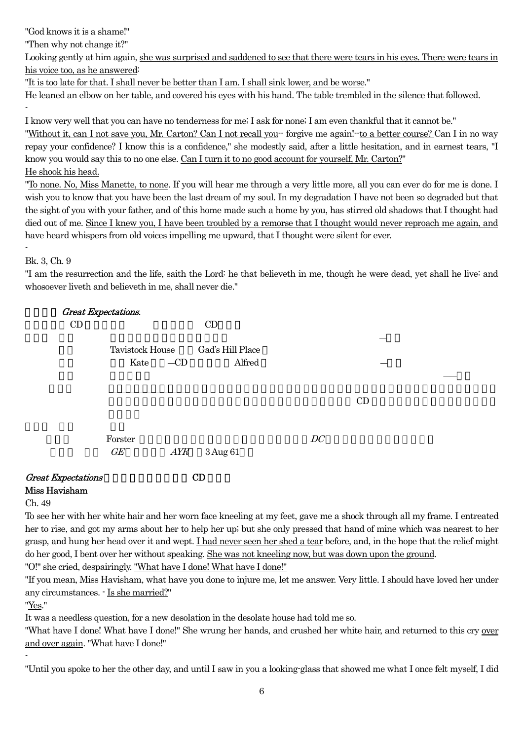"God knows it is a shame!"

"Then why not change it?"

Looking gently at him again, she was surprised and saddened to see that there were tears in his eyes. There were tears in his voice too, as he answered:

"It is too late for that. I shall never be better than I am. I shall sink lower, and be worse."

He leaned an elbow on her table, and covered his eyes with his hand. The table trembled in the silence that followed. -

I know very well that you can have no tenderness for me; I ask for none; I am even thankful that it cannot be."

"Without it, can I not save you, Mr. Carton? Can I not recall you-- forgive me again!--to a better course? Can I in no way repay your confidence? I know this is a confidence," she modestly said, after a little hesitation, and in earnest tears, "I know you would say this to no one else. Can I turn it to no good account for yourself, Mr. Carton?" He shook his head.

"To none. No, Miss Manette, to none. If you will hear me through a very little more, all you can ever do for me is done. I wish you to know that you have been the last dream of my soul. In my degradation I have not been so degraded but that the sight of you with your father, and of this home made such a home by you, has stirred old shadows that I thought had died out of me. Since I knew you, I have been troubled by a remorse that I thought would never reproach me again, and have heard whispers from old voices impelling me upward, that I thought were silent for ever.

Bk. 3, Ch. 9

-

"I am the resurrection and the life, saith the Lord: he that believeth in me, though he were dead, yet shall he live: and whosoever liveth and believeth in me, shall never die."

| <b>Great Expectations.</b>                 |                         |       |                            |    |    |  |
|--------------------------------------------|-------------------------|-------|----------------------------|----|----|--|
| CD                                         | CD                      |       |                            |    |    |  |
|                                            | Tavistock House<br>Kate | $-CD$ | Gad's Hill Place<br>Alfred |    |    |  |
|                                            |                         |       |                            |    | CD |  |
|                                            | Forster<br>GE           | AYR   | 3 Aug 61                   | DC |    |  |
| <b>Great Expectations</b><br>Miss Havisham |                         |       | CD                         |    |    |  |

## Ch. 49

To see her with her white hair and her worn face kneeling at my feet, gave me a shock through all my frame. I entreated her to rise, and got my arms about her to help her up; but she only pressed that hand of mine which was nearest to her grasp, and hung her head over it and wept. I had never seen her shed a tear before, and, in the hope that the relief might do her good, I bent over her without speaking. She was not kneeling now, but was down upon the ground.

"O!" she cried, despairingly. "What have I done! What have I done!"

"If you mean, Miss Havisham, what have you done to injure me, let me answer. Very little. I should have loved her under any circumstances. - Is she married?"

"Yes."

-

It was a needless question, for a new desolation in the desolate house had told me so.

"What have I done! What have I done!" She wrung her hands, and crushed her white hair, and returned to this cry over and over again. "What have I done!"

"Until you spoke to her the other day, and until I saw in you a looking-glass that showed me what I once felt myself, I did